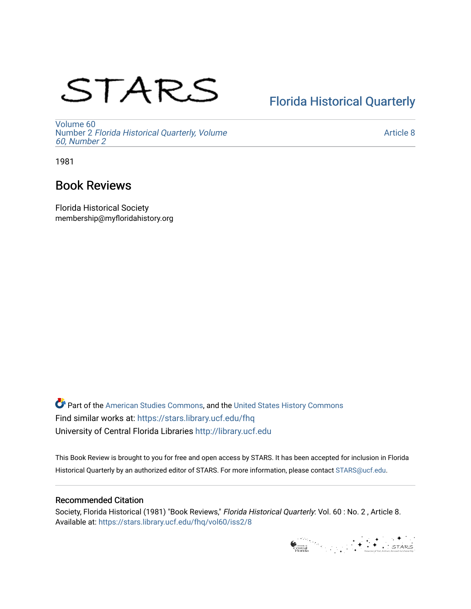# STARS

# [Florida Historical Quarterly](https://stars.library.ucf.edu/fhq)

[Volume 60](https://stars.library.ucf.edu/fhq/vol60) Number 2 [Florida Historical Quarterly, Volume](https://stars.library.ucf.edu/fhq/vol60/iss2)  [60, Number 2](https://stars.library.ucf.edu/fhq/vol60/iss2)

[Article 8](https://stars.library.ucf.edu/fhq/vol60/iss2/8) 

1981

## Book Reviews

Florida Historical Society membership@myfloridahistory.org

**C** Part of the [American Studies Commons](http://network.bepress.com/hgg/discipline/439?utm_source=stars.library.ucf.edu%2Ffhq%2Fvol60%2Fiss2%2F8&utm_medium=PDF&utm_campaign=PDFCoverPages), and the United States History Commons Find similar works at: <https://stars.library.ucf.edu/fhq> University of Central Florida Libraries [http://library.ucf.edu](http://library.ucf.edu/) 

This Book Review is brought to you for free and open access by STARS. It has been accepted for inclusion in Florida Historical Quarterly by an authorized editor of STARS. For more information, please contact [STARS@ucf.edu.](mailto:STARS@ucf.edu)

#### Recommended Citation

Society, Florida Historical (1981) "Book Reviews," Florida Historical Quarterly: Vol. 60 : No. 2 , Article 8. Available at: [https://stars.library.ucf.edu/fhq/vol60/iss2/8](https://stars.library.ucf.edu/fhq/vol60/iss2/8?utm_source=stars.library.ucf.edu%2Ffhq%2Fvol60%2Fiss2%2F8&utm_medium=PDF&utm_campaign=PDFCoverPages) 

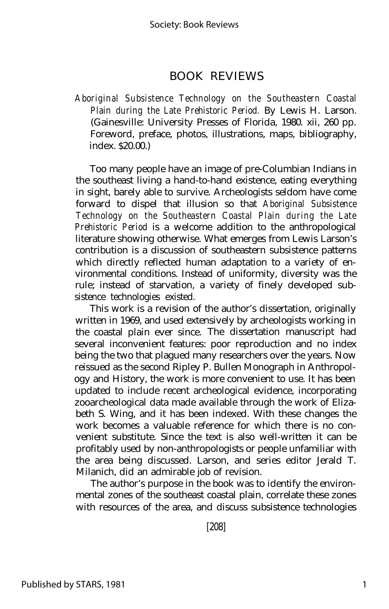*Aboriginal Subsistence Technology on the Southeastern Coastal Plain during the Late Prehistoric Period.* By Lewis H. Larson. (Gainesville: University Presses of Florida, 1980. xii, 260 pp. Foreword, preface, photos, illustrations, maps, bibliography, index. \$20.00.)

Too many people have an image of pre-Columbian Indians in the southeast living a hand-to-hand existence, eating everything in sight, barely able to survive. Archeologists seldom have come forward to dispel that illusion so that *Aboriginal Subsistence Technology on the Southeastern Coastal Plain during the Late Prehistoric Period* is a welcome addition to the anthropological literature showing otherwise. What emerges from Lewis Larson's contribution is a discussion of southeastern subsistence patterns which directly reflected human adaptation to a variety of environmental conditions. Instead of uniformity, diversity was the rule; instead of starvation, a variety of finely developed subsistence technologies existed.

This work is a revision of the author's dissertation, originally written in 1969, and used extensively by archeologists working in the coastal plain ever since. The dissertation manuscript had several inconvenient features: poor reproduction and no index being the two that plagued many researchers over the years. Now reissued as the second Ripley P. Bullen Monograph in Anthropology and History, the work is more convenient to use. It has been updated to include recent archeological evidence, incorporating zooarcheological data made available through the work of Elizabeth S. Wing, and it has been indexed. With these changes the work becomes a valuable reference for which there is no convenient substitute. Since the text is also well-written it can be profitably used by non-anthropologists or people unfamiliar with the area being discussed. Larson, and series editor Jerald T. Milanich, did an admirable job of revision.

The author's purpose in the book was to identify the environmental zones of the southeast coastal plain, correlate these zones with resources of the area, and discuss subsistence technologies

[208]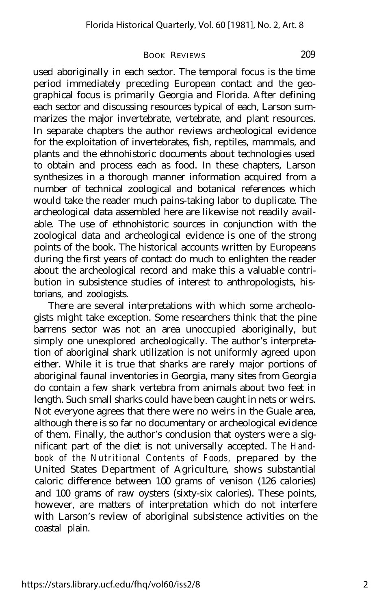used aboriginally in each sector. The temporal focus is the time period immediately preceding European contact and the geographical focus is primarily Georgia and Florida. After defining each sector and discussing resources typical of each, Larson summarizes the major invertebrate, vertebrate, and plant resources. In separate chapters the author reviews archeological evidence for the exploitation of invertebrates, fish, reptiles, mammals, and plants and the ethnohistoric documents about technologies used to obtain and process each as food. In these chapters, Larson synthesizes in a thorough manner information acquired from a number of technical zoological and botanical references which would take the reader much pains-taking labor to duplicate. The archeological data assembled here are likewise not readily available. The use of ethnohistoric sources in conjunction with the zoological data and archeological evidence is one of the strong points of the book. The historical accounts written by Europeans during the first years of contact do much to enlighten the reader about the archeological record and make this a valuable contribution in subsistence studies of interest to anthropologists, historians, and zoologists.

There are several interpretations with which some archeologists might take exception. Some researchers think that the pine barrens sector was not an area unoccupied aboriginally, but simply one unexplored archeologically. The author's interpretation of aboriginal shark utilization is not uniformly agreed upon either. While it is true that sharks are rarely major portions of aboriginal faunal inventories in Georgia, many sites from Georgia do contain a few shark vertebra from animals about two feet in length. Such small sharks could have been caught in nets or weirs. Not everyone agrees that there were no weirs in the Guale area, although there is so far no documentary or archeological evidence of them. Finally, the author's conclusion that oysters were a significant part of the diet is not universally accepted. *The Handbook of the Nutritional Contents of Foods,* prepared by the United States Department of Agriculture, shows substantial caloric difference between 100 grams of venison (126 calories) and 100 grams of raw oysters (sixty-six calories). These points, however, are matters of interpretation which do not interfere with Larson's review of aboriginal subsistence activities on the coastal plain.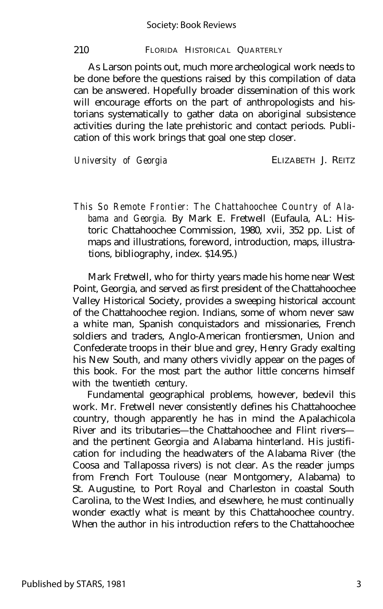As Larson points out, much more archeological work needs to be done before the questions raised by this compilation of data can be answered. Hopefully broader dissemination of this work will encourage efforts on the part of anthropologists and historians systematically to gather data on aboriginal subsistence activities during the late prehistoric and contact periods. Publication of this work brings that goal one step closer.

*University of Georgia* ELIZABETH J. REITZ

*This So Remote Frontier: The Chattahoochee Country of Alabama and Georgia.* By Mark E. Fretwell (Eufaula, AL: Historic Chattahoochee Commission, 1980, xvii, 352 pp. List of maps and illustrations, foreword, introduction, maps, illustrations, bibliography, index. \$14.95.)

Mark Fretwell, who for thirty years made his home near West Point, Georgia, and served as first president of the Chattahoochee Valley Historical Society, provides a sweeping historical account of the Chattahoochee region. Indians, some of whom never saw a white man, Spanish conquistadors and missionaries, French soldiers and traders, Anglo-American frontiersmen, Union and Confederate troops in their blue and grey, Henry Grady exalting his New South, and many others vividly appear on the pages of this book. For the most part the author little concerns himself with the twentieth century.

Fundamental geographical problems, however, bedevil this work. Mr. Fretwell never consistently defines his Chattahoochee country, though apparently he has in mind the Apalachicola River and its tributaries— the Chattahoochee and Flint rivers and the pertinent Georgia and Alabama hinterland. His justification for including the headwaters of the Alabama River (the Coosa and Tallapossa rivers) is not clear. As the reader jumps from French Fort Toulouse (near Montgomery, Alabama) to St. Augustine, to Port Royal and Charleston in coastal South Carolina, to the West Indies, and elsewhere, he must continually wonder exactly what is meant by this Chattahoochee country. When the author in his introduction refers to the Chattahoochee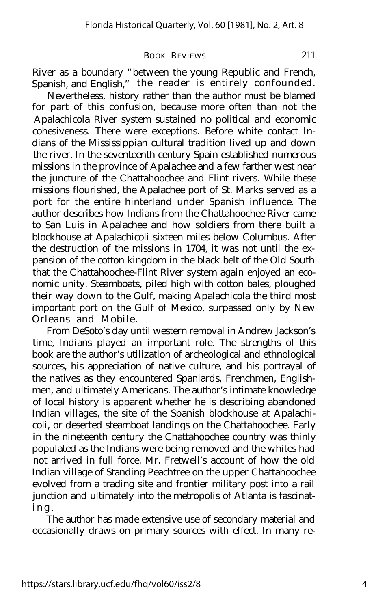River as a boundary "between the young Republic and French, Spanish, and English," the reader is entirely confounded.

Nevertheless, history rather than the author must be blamed for part of this confusion, because more often than not the Apalachicola River system sustained no political and economic cohesiveness. There were exceptions. Before white contact Indians of the Mississippian cultural tradition lived up and down the river. In the seventeenth century Spain established numerous missions in the province of Apalachee and a few farther west near the juncture of the Chattahoochee and Flint rivers. While these missions flourished, the Apalachee port of St. Marks served as a port for the entire hinterland under Spanish influence. The author describes how Indians from the Chattahoochee River came to San Luis in Apalachee and how soldiers from there built a blockhouse at Apalachicoli sixteen miles below Columbus. After the destruction of the missions in 1704, it was not until the expansion of the cotton kingdom in the black belt of the Old South that the Chattahoochee-Flint River system again enjoyed an economic unity. Steamboats, piled high with cotton bales, ploughed their way down to the Gulf, making Apalachicola the third most important port on the Gulf of Mexico, surpassed only by New Orleans and Mobile.

From DeSoto's day until western removal in Andrew Jackson's time, Indians played an important role. The strengths of this book are the author's utilization of archeological and ethnological sources, his appreciation of native culture, and his portrayal of the natives as they encountered Spaniards, Frenchmen, Englishmen, and ultimately Americans. The author's intimate knowledge of local history is apparent whether he is describing abandoned Indian villages, the site of the Spanish blockhouse at Apalachicoli, or deserted steamboat landings on the Chattahoochee. Early in the nineteenth century the Chattahoochee country was thinly populated as the Indians were being removed and the whites had not arrived in full force. Mr. Fretwell's account of how the old Indian village of Standing Peachtree on the upper Chattahoochee evolved from a trading site and frontier military post into a rail junction and ultimately into the metropolis of Atlanta is fascinating .

The author has made extensive use of secondary material and occasionally draws on primary sources with effect. In many re-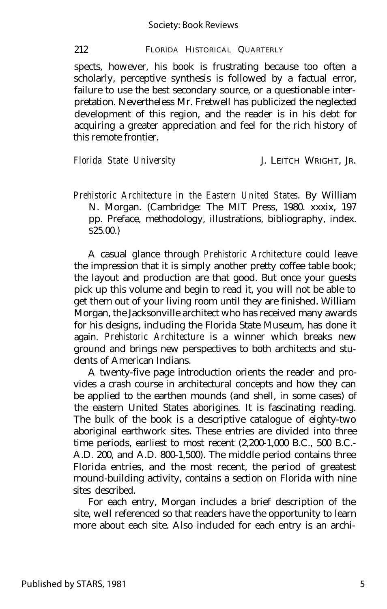spects, however, his book is frustrating because too often a scholarly, perceptive synthesis is followed by a factual error, failure to use the best secondary source, or a questionable interpretation. Nevertheless Mr. Fretwell has publicized the neglected development of this region, and the reader is in his debt for acquiring a greater appreciation and feel for the rich history of this remote frontier.

*Florida State University* J. LEITCH WRIGHT, JR.

*Prehistoric Architecture in the Eastern United States.* By William N. Morgan. (Cambridge: The MIT Press, 1980. xxxix, 197 pp. Preface, methodology, illustrations, bibliography, index. \$25.00.)

A casual glance through *Prehistoric Architecture* could leave the impression that it is simply another pretty coffee table book; the layout and production are that good. But once your guests pick up this volume and begin to read it, you will not be able to get them out of your living room until they are finished. William Morgan, the Jacksonville architect who has received many awards for his designs, including the Florida State Museum, has done it again. *Prehistoric Architecture* is a winner which breaks new ground and brings new perspectives to both architects and students of American Indians.

A twenty-five page introduction orients the reader and provides a crash course in architectural concepts and how they can be applied to the earthen mounds (and shell, in some cases) of the eastern United States aborigines. It is fascinating reading. The bulk of the book is a descriptive catalogue of eighty-two aboriginal earthwork sites. These entries are divided into three time periods, earliest to most recent (2,200-1,000 B.C., 500 B.C.- A.D. 200, and A.D. 800-1,500). The middle period contains three Florida entries, and the most recent, the period of greatest mound-building activity, contains a section on Florida with nine sites described.

For each entry, Morgan includes a brief description of the site, well referenced so that readers have the opportunity to learn more about each site. Also included for each entry is an archi-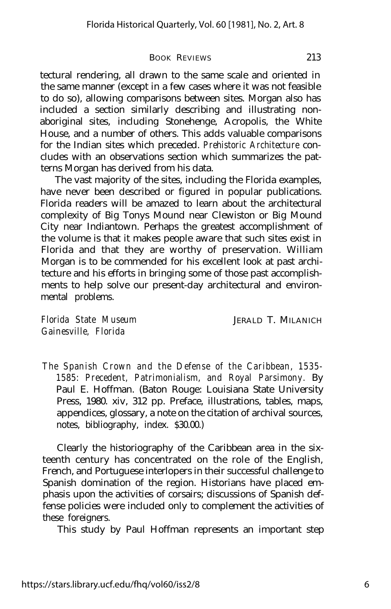tectural rendering, all drawn to the same scale and oriented in the same manner (except in a few cases where it was not feasible to do so), allowing comparisons between sites. Morgan also has included a section similarly describing and illustrating nonaboriginal sites, including Stonehenge, Acropolis, the White House, and a number of others. This adds valuable comparisons for the Indian sites which preceded. *Prehistoric Architecture* concludes with an observations section which summarizes the patterns Morgan has derived from his data.

The vast majority of the sites, including the Florida examples, have never been described or figured in popular publications. Florida readers will be amazed to learn about the architectural complexity of Big Tonys Mound near Clewiston or Big Mound City near Indiantown. Perhaps the greatest accomplishment of the volume is that it makes people aware that such sites exist in Florida and that they are worthy of preservation. William Morgan is to be commended for his excellent look at past architecture and his efforts in bringing some of those past accomplishments to help solve our present-day architectural and environmental problems.

*Florida State Museum Gainesville, Florida*

JERALD T. MILANICH

*The Spanish Crown and the Defense of the Caribbean, 1535- 1585: Precedent, Patrimonialism, and Royal Parsimony.* By Paul E. Hoffman. (Baton Rouge: Louisiana State University Press, 1980. xiv, 312 pp. Preface, illustrations, tables, maps, appendices, glossary, a note on the citation of archival sources, notes, bibliography, index. \$30.00.)

Clearly the historiography of the Caribbean area in the sixteenth century has concentrated on the role of the English, French, and Portuguese interlopers in their successful challenge to Spanish domination of the region. Historians have placed emphasis upon the activities of corsairs; discussions of Spanish deffense policies were included only to complement the activities of these foreigners.

This study by Paul Hoffman represents an important step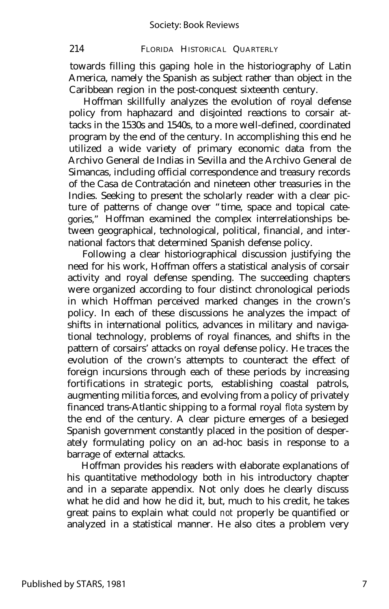towards filling this gaping hole in the historiography of Latin America, namely the Spanish as subject rather than object in the Caribbean region in the post-conquest sixteenth century.

Hoffman skillfully analyzes the evolution of royal defense policy from haphazard and disjointed reactions to corsair attacks in the 1530s and 1540s, to a more well-defined, coordinated program by the end of the century. In accomplishing this end he utilized a wide variety of primary economic data from the Archivo General de Indias in Sevilla and the Archivo General de Simancas, including official correspondence and treasury records of the Casa de Contratación and nineteen other treasuries in the Indies. Seeking to present the scholarly reader with a clear picture of patterns of change over "time, space and topical categories," Hoffman examined the complex interrelationships between geographical, technological, political, financial, and international factors that determined Spanish defense policy.

Following a clear historiographical discussion justifying the need for his work, Hoffman offers a statistical analysis of corsair activity and royal defense spending. The succeeding chapters were organized according to four distinct chronological periods in which Hoffman perceived marked changes in the crown's policy. In each of these discussions he analyzes the impact of shifts in international politics, advances in military and navigational technology, problems of royal finances, and shifts in the pattern of corsairs' attacks on royal defense policy. He traces the evolution of the crown's attempts to counteract the effect of foreign incursions through each of these periods by increasing fortifications in strategic ports, establishing coastal patrols, augmenting militia forces, and evolving from a policy of privately financed trans-Atlantic shipping to a formal royal *flota* system by the end of the century. A clear picture emerges of a besieged Spanish government constantly placed in the position of desperately formulating policy on an ad-hoc basis in response to a barrage of external attacks.

Hoffman provides his readers with elaborate explanations of his quantitative methodology both in his introductory chapter and in a separate appendix. Not only does he clearly discuss what he did and how he did it, but, much to his credit, he takes great pains to explain what could *not* properly be quantified or analyzed in a statistical manner. He also cites a problem very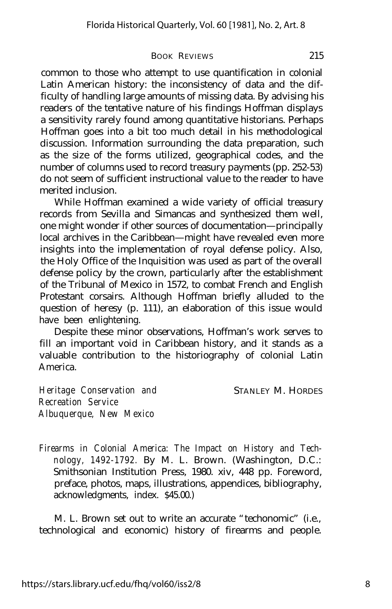common to those who attempt to use quantification in colonial Latin American history: the inconsistency of data and the difficulty of handling large amounts of missing data. By advising his readers of the tentative nature of his findings Hoffman displays a sensitivity rarely found among quantitative historians. Perhaps Hoffman goes into a bit too much detail in his methodological discussion. Information surrounding the data preparation, such as the size of the forms utilized, geographical codes, and the number of columns used to record treasury payments (pp. 252-53) do not seem of sufficient instructional value to the reader to have merited inclusion.

While Hoffman examined a wide variety of official treasury records from Sevilla and Simancas and synthesized them well, one might wonder if other sources of documentation— principally local archives in the Caribbean— might have revealed even more insights into the implementation of royal defense policy. Also, the Holy Office of the Inquisition was used as part of the overall defense policy by the crown, particularly after the establishment of the Tribunal of Mexico in 1572, to combat French and English Protestant corsairs. Although Hoffman briefly alluded to the question of heresy (p. 111), an elaboration of this issue would have been enlightening.

Despite these minor observations, Hoffman's work serves to fill an important void in Caribbean history, and it stands as a valuable contribution to the historiography of colonial Latin America.

*Heritage Conservation and Recreation Service Albuquerque, New Mexico*

STANLEY M. HORDES

*Firearms in Colonial America: The Impact on History and Technology, 1492-1792.* By M. L. Brown. (Washington, D.C.: Smithsonian Institution Press, 1980. xiv, 448 pp. Foreword, preface, photos, maps, illustrations, appendices, bibliography, acknowledgments, index. \$45.00.)

M. L. Brown set out to write an accurate "techonomic" (i.e., technological and economic) history of firearms and people.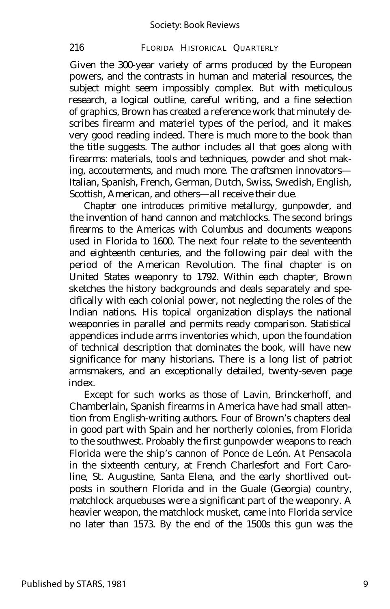Given the 300-year variety of arms produced by the European powers, and the contrasts in human and material resources, the subject might seem impossibly complex. But with meticulous research, a logical outline, careful writing, and a fine selection of graphics, Brown has created a reference work that minutely describes firearm and materiel types of the period, and it makes very good reading indeed. There is much more to the book than the title suggests. The author includes all that goes along with firearms: materials, tools and techniques, powder and shot making, accouterments, and much more. The craftsmen innovators— Italian, Spanish, French, German, Dutch, Swiss, Swedish, English, Scottish, American, and others— all receive their due.

Chapter one introduces primitive metallurgy, gunpowder, and the invention of hand cannon and matchlocks. The second brings firearms to the Americas with Columbus and documents weapons used in Florida to 1600. The next four relate to the seventeenth and eighteenth centuries, and the following pair deal with the period of the American Revolution. The final chapter is on United States weaponry to 1792. Within each chapter, Brown sketches the history backgrounds and deals separately and specifically with each colonial power, not neglecting the roles of the Indian nations. His topical organization displays the national weaponries in parallel and permits ready comparison. Statistical appendices include arms inventories which, upon the foundation of technical description that dominates the book, will have new significance for many historians. There is a long list of patriot armsmakers, and an exceptionally detailed, twenty-seven page index.

Except for such works as those of Lavin, Brinckerhoff, and Chamberlain, Spanish firearms in America have had small attention from English-writing authors. Four of Brown's chapters deal in good part with Spain and her northerly colonies, from Florida to the southwest. Probably the first gunpowder weapons to reach Florida were the ship's cannon of Ponce de León. At Pensacola in the sixteenth century, at French Charlesfort and Fort Caroline, St. Augustine, Santa Elena, and the early shortlived outposts in southern Florida and in the Guale (Georgia) country, matchlock arquebuses were a significant part of the weaponry. A heavier weapon, the matchlock musket, came into Florida service no later than 1573. By the end of the 1500s this gun was the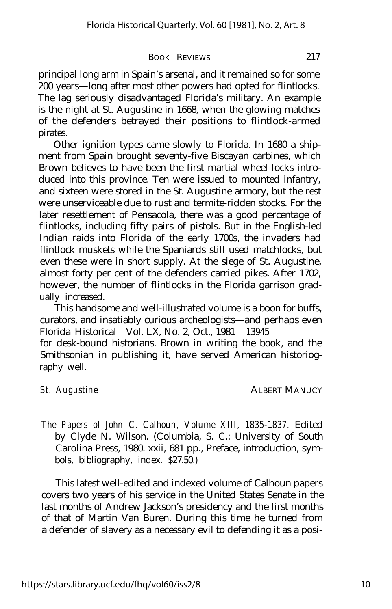principal long arm in Spain's arsenal, and it remained so for some 200 years— long after most other powers had opted for flintlocks. The lag seriously disadvantaged Florida's military. An example is the night at St. Augustine in 1668, when the glowing matches of the defenders betrayed their positions to flintlock-armed pirates.

Other ignition types came slowly to Florida. In 1680 a shipment from Spain brought seventy-five Biscayan carbines, which Brown believes to have been the first martial wheel locks introduced into this province. Ten were issued to mounted infantry, and sixteen were stored in the St. Augustine armory, but the rest were unserviceable due to rust and termite-ridden stocks. For the later resettlement of Pensacola, there was a good percentage of flintlocks, including fifty pairs of pistols. But in the English-led Indian raids into Florida of the early 1700s, the invaders had flintlock muskets while the Spaniards still used matchlocks, but even these were in short supply. At the siege of St. Augustine, almost forty per cent of the defenders carried pikes. After 1702, however, the number of flintlocks in the Florida garrison gradually increased.

This handsome and well-illustrated volume is a boon for buffs, curators, and insatiably curious archeologists— and perhaps even Florida Historical Vol. LX, No. 2, Oct., 1981 13945 for desk-bound historians. Brown in writing the book, and the Smithsonian in publishing it, have served American historiography well.

**St. Augustine ALBERT MANUCY** 

*The Papers of John C. Calhoun, Volume XIII, 1835-1837.* Edited by Clyde N. Wilson. (Columbia, S. C.: University of South Carolina Press, 1980. xxii, 681 pp., Preface, introduction, symbols, bibliography, index. \$27.50.)

This latest well-edited and indexed volume of Calhoun papers covers two years of his service in the United States Senate in the last months of Andrew Jackson's presidency and the first months of that of Martin Van Buren. During this time he turned from a defender of slavery as a necessary evil to defending it as a posi-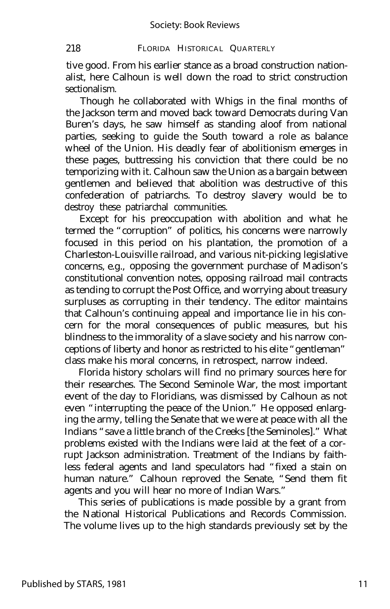tive good. From his earlier stance as a broad construction nationalist, here Calhoun is well down the road to strict construction sectionalism.

Though he collaborated with Whigs in the final months of the Jackson term and moved back toward Democrats during Van Buren's days, he saw himself as standing aloof from national parties, seeking to guide the South toward a role as balance wheel of the Union. His deadly fear of abolitionism emerges in these pages, buttressing his conviction that there could be no temporizing with it. Calhoun saw the Union as a bargain between gentlemen and believed that abolition was destructive of this confederation of patriarchs. To destroy slavery would be to destroy these patriarchal communities.

Except for his preoccupation with abolition and what he termed the "corruption" of politics, his concerns were narrowly focused in this period on his plantation, the promotion of a Charleston-Louisville railroad, and various nit-picking legislative concerns, e.g., opposing the government purchase of Madison's constitutional convention notes, opposing railroad mail contracts as tending to corrupt the Post Office, and worrying about treasury surpluses as corrupting in their tendency. The editor maintains that Calhoun's continuing appeal and importance lie in his concern for the moral consequences of public measures, but his blindness to the immorality of a slave society and his narrow conceptions of liberty and honor as restricted to his elite "gentleman" class make his moral concerns, in retrospect, narrow indeed.

Florida history scholars will find no primary sources here for their researches. The Second Seminole War, the most important event of the day to Floridians, was dismissed by Calhoun as not even "interrupting the peace of the Union." He opposed enlarging the army, telling the Senate that we were at peace with all the Indians "save a little branch of the Creeks [the Seminoles]." What problems existed with the Indians were laid at the feet of a corrupt Jackson administration. Treatment of the Indians by faithless federal agents and land speculators had "fixed a stain on human nature." Calhoun reproved the Senate, "Send them fit agents and you will hear no more of Indian Wars."

This series of publications is made possible by a grant from the National Historical Publications and Records Commission. The volume lives up to the high standards previously set by the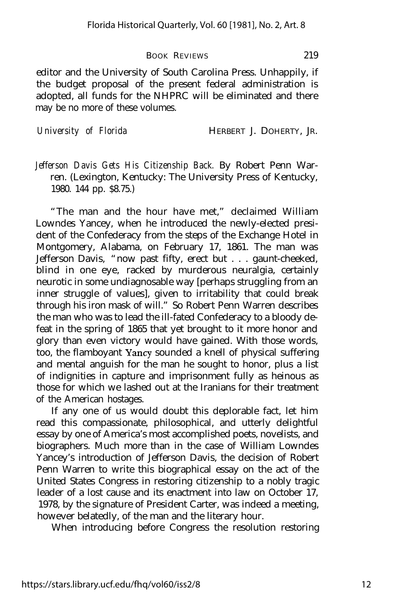editor and the University of South Carolina Press. Unhappily, if the budget proposal of the present federal administration is adopted, all funds for the NHPRC will be eliminated and there may be no more of these volumes.

*University of Florida* HERBERT J. DOHERTY, JR.

*Jefferson Davis Gets His Citizenship Back.* By Robert Penn Warren. (Lexington, Kentucky: The University Press of Kentucky, 1980. 144 pp. \$8.75.)

"The man and the hour have met," declaimed William Lowndes Yancey, when he introduced the newly-elected president of the Confederacy from the steps of the Exchange Hotel in Montgomery, Alabama, on February 17, 1861. The man was Jefferson Davis, "now past fifty, erect but . . . gaunt-cheeked, blind in one eye, racked by murderous neuralgia, certainly neurotic in some undiagnosable way [perhaps struggling from an inner struggle of values], given to irritability that could break through his iron mask of will." So Robert Penn Warren describes the man who was to lead the ill-fated Confederacy to a bloody defeat in the spring of 1865 that yet brought to it more honor and glory than even victory would have gained. With those words, too, the flamboyant Yancy sounded a knell of physical suffering and mental anguish for the man he sought to honor, plus a list of indignities in capture and imprisonment fully as heinous as those for which we lashed out at the Iranians for their treatment of the American hostages.

If any one of us would doubt this deplorable fact, let him read this compassionate, philosophical, and utterly delightful essay by one of America's most accomplished poets, novelists, and biographers. Much more than in the case of William Lowndes Yancey's introduction of Jefferson Davis, the decision of Robert Penn Warren to write this biographical essay on the act of the United States Congress in restoring citizenship to a nobly tragic leader of a lost cause and its enactment into law on October 17, 1978, by the signature of President Carter, was indeed a meeting, however belatedly, of the man and the literary hour.

When introducing before Congress the resolution restoring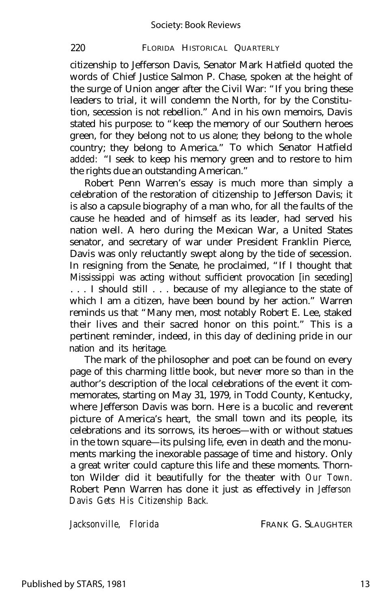citizenship to Jefferson Davis, Senator Mark Hatfield quoted the words of Chief Justice Salmon P. Chase, spoken at the height of the surge of Union anger after the Civil War: "If you bring these leaders to trial, it will condemn the North, for by the Constitution, secession is not rebellion." And in his own memoirs, Davis stated his purpose: to "keep the memory of our Southern heroes green, for they belong not to us alone; they belong to the whole country; they belong to America." To which Senator Hatfield added: "I seek to keep his memory green and to restore to him the rights due an outstanding American."

Robert Penn Warren's essay is much more than simply a celebration of the restoration of citizenship to Jefferson Davis; it is also a capsule biography of a man who, for all the faults of the cause he headed and of himself as its leader, had served his nation well. A hero during the Mexican War, a United States senator, and secretary of war under President Franklin Pierce, Davis was only reluctantly swept along by the tide of secession. In resigning from the Senate, he proclaimed, "If I thought that Mississippi was acting without sufficient provocation [in seceding] . . . I should still . . . because of my allegiance to the state of which I am a citizen, have been bound by her action." Warren reminds us that "Many men, most notably Robert E. Lee, staked their lives and their sacred honor on this point." This is a pertinent reminder, indeed, in this day of declining pride in our nation and its heritage.

The mark of the philosopher and poet can be found on every page of this charming little book, but never more so than in the author's description of the local celebrations of the event it commemorates, starting on May 31, 1979, in Todd County, Kentucky, where Jefferson Davis was born. Here is a bucolic and reverent picture of America's heart, the small town and its people, its celebrations and its sorrows, its heroes— with or without statues in the town square— its pulsing life, even in death and the monuments marking the inexorable passage of time and history. Only a great writer could capture this life and these moments. Thornton Wilder did it beautifully for the theater with *Our Town.* Robert Penn Warren has done it just as effectively in *Jefferson Davis Gets His Citizenship Back.*

*Jacksonville, Florida* FRANK G. SLAUGHTER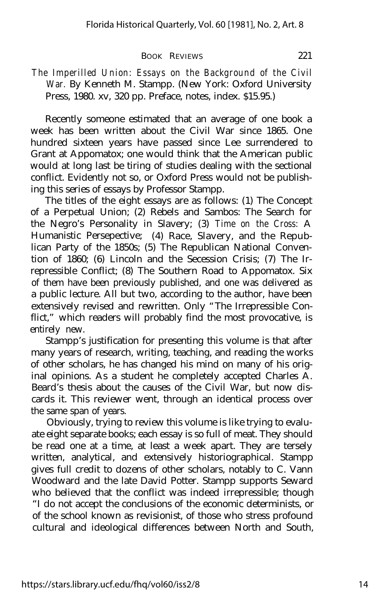*The Imperilled Union: Essays on the Background of the Civil War.* By Kenneth M. Stampp. (New York: Oxford University Press, 1980. xv, 320 pp. Preface, notes, index. \$15.95.)

Recently someone estimated that an average of one book a week has been written about the Civil War since 1865. One hundred sixteen years have passed since Lee surrendered to Grant at Appomatox; one would think that the American public would at long last be tiring of studies dealing with the sectional conflict. Evidently not so, or Oxford Press would not be publishing this series of essays by Professor Stampp.

The titles of the eight essays are as follows: (1) The Concept of a Perpetual Union; (2) Rebels and Sambos: The Search for the Negro's Personality in Slavery; (3) *Time on the Cross:* A Humanistic Persepective; (4) Race, Slavery, and the Republican Party of the 1850s; (5) The Republican National Convention of 1860; (6) Lincoln and the Secession Crisis; (7) The Irrepressible Conflict; (8) The Southern Road to Appomatox. Six of them have been previously published, and one was delivered as a public lecture. All but two, according to the author, have been extensively revised and rewritten. Only "The Irrepressible Conflict," which readers will probably find the most provocative, is entirely new.

Stampp's justification for presenting this volume is that after many years of research, writing, teaching, and reading the works of other scholars, he has changed his mind on many of his original opinions. As a student he completely accepted Charles A. Beard's thesis about the causes of the Civil War, but now discards it. This reviewer went, through an identical process over the same span of years.

Obviously, trying to review this volume is like trying to evaluate eight separate books; each essay is so full of meat. They should be read one at a time, at least a week apart. They are tersely written, analytical, and extensively historiographical. Stampp gives full credit to dozens of other scholars, notably to C. Vann Woodward and the late David Potter. Stampp supports Seward who believed that the conflict was indeed irrepressible; though "I do not accept the conclusions of the economic determinists, or of the school known as revisionist, of those who stress profound cultural and ideological differences between North and South,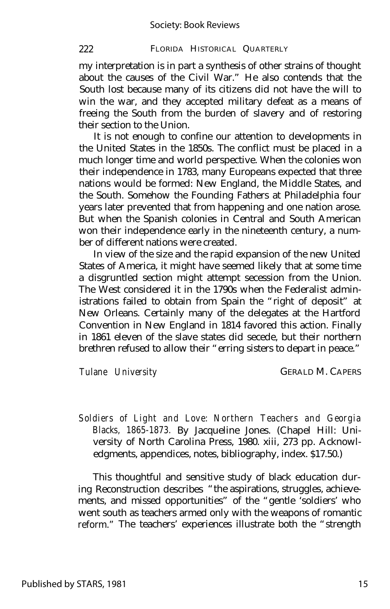my interpretation is in part a synthesis of other strains of thought about the causes of the Civil War." He also contends that the South lost because many of its citizens did not have the will to win the war, and they accepted military defeat as a means of freeing the South from the burden of slavery and of restoring their section to the Union.

It is not enough to confine our attention to developments in the United States in the 1850s. The conflict must be placed in a much longer time and world perspective. When the colonies won their independence in 1783, many Europeans expected that three nations would be formed: New England, the Middle States, and the South. Somehow the Founding Fathers at Philadelphia four years later prevented that from happening and one nation arose. But when the Spanish colonies in Central and South American won their independence early in the nineteenth century, a number of different nations were created.

In view of the size and the rapid expansion of the new United States of America, it might have seemed likely that at some time a disgruntled section might attempt secession from the Union. The West considered it in the 1790s when the Federalist administrations failed to obtain from Spain the "right of deposit" at New Orleans. Certainly many of the delegates at the Hartford Convention in New England in 1814 favored this action. Finally in 1861 eleven of the slave states did secede, but their northern brethren refused to allow their "erring sisters to depart in peace."

*Tulane University* GERALD M. CAPERS

*Soldiers of Light and Love: Northern Teachers and Georgia Blacks, 1865-1873.* By Jacqueline Jones. (Chapel Hill: University of North Carolina Press, 1980. xiii, 273 pp. Acknowledgments, appendices, notes, bibliography, index. \$17.50.)

This thoughtful and sensitive study of black education during Reconstruction describes "the aspirations, struggles, achievements, and missed opportunities" of the "gentle 'soldiers' who went south as teachers armed only with the weapons of romantic reform." The teachers' experiences illustrate both the "strength

Published by STARS, 1981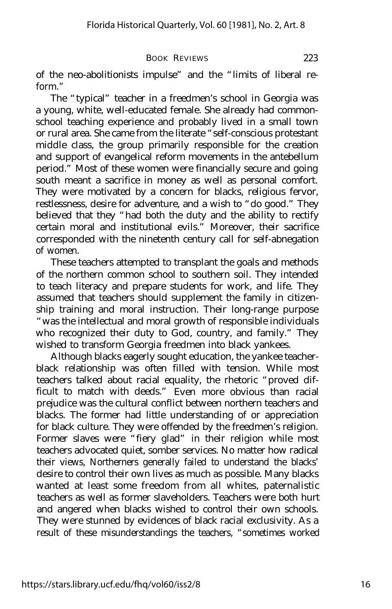of the neo-abolitionists impulse" and the "limits of liberal reform."

The "typical" teacher in a freedmen's school in Georgia was a young, white, well-educated female. She already had commonschool teaching experience and probably lived in a small town or rural area. She came from the literate "self-conscious protestant middle class, the group primarily responsible for the creation and support of evangelical reform movements in the antebellum period." Most of these women were financially secure and going south meant a sacrifice in money as well as personal comfort. They were motivated by a concern for blacks, religious fervor, restlessness, desire for adventure, and a wish to "do good." They believed that they "had both the duty and the ability to rectify certain moral and institutional evils." Moreover, their sacrifice corresponded with the ninetenth century call for self-abnegation of women.

These teachers attempted to transplant the goals and methods of the northern common school to southern soil. They intended to teach literacy and prepare students for work, and life. They assumed that teachers should supplement the family in citizenship training and moral instruction. Their long-range purpose "was the intellectual and moral growth of responsible individuals who recognized their duty to God, country, and family." They wished to transform Georgia freedmen into black yankees.

Although blacks eagerly sought education, the yankee teacherblack relationship was often filled with tension. While most teachers talked about racial equality, the rhetoric "proved difficult to match with deeds." Even more obvious than racial prejudice was the cultural conflict between northern teachers and blacks. The former had little understanding of or appreciation for black culture. They were offended by the freedmen's religion. Former slaves were "fiery glad" in their religion while most teachers advocated quiet, somber services. No matter how radical their views, Northerners generally failed to understand the blacks' desire to control their own lives as much as possible. Many blacks wanted at least some freedom from all whites, paternalistic teachers as well as former slaveholders. Teachers were both hurt and angered when blacks wished to control their own schools. They were stunned by evidences of black racial exclusivity. As a result of these misunderstandings the teachers, "sometimes worked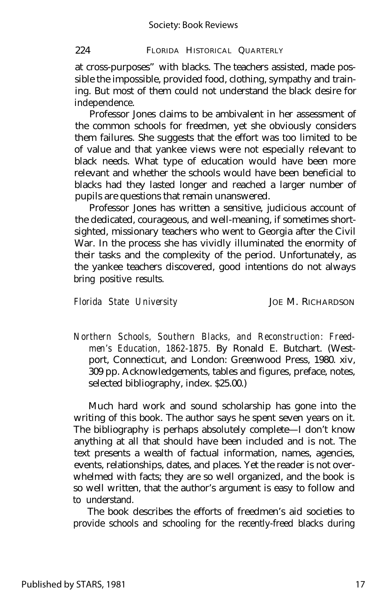at cross-purposes" with blacks. The teachers assisted, made possible the impossible, provided food, clothing, sympathy and training. But most of them could not understand the black desire for independence.

Professor Jones claims to be ambivalent in her assessment of the common schools for freedmen, yet she obviously considers them failures. She suggests that the effort was too limited to be of value and that yankee views were not especially relevant to black needs. What type of education would have been more relevant and whether the schools would have been beneficial to blacks had they lasted longer and reached a larger number of pupils are questions that remain unanswered.

Professor Jones has written a sensitive, judicious account of the dedicated, courageous, and well-meaning, if sometimes shortsighted, missionary teachers who went to Georgia after the Civil War. In the process she has vividly illuminated the enormity of their tasks and the complexity of the period. Unfortunately, as the yankee teachers discovered, good intentions do not always bring positive results.

*Florida State University* JOE M. RICHARDSON

*Northern Schools, Southern Blacks, and Reconstruction: Freedmen's Education, 1862-1875.* By Ronald E. Butchart. (Westport, Connecticut, and London: Greenwood Press, 1980. xiv, 309 pp. Acknowledgements, tables and figures, preface, notes, selected bibliography, index. \$25.00.)

Much hard work and sound scholarship has gone into the writing of this book. The author says he spent seven years on it. The bibliography is perhaps absolutely complete— I don't know anything at all that should have been included and is not. The text presents a wealth of factual information, names, agencies, events, relationships, dates, and places. Yet the reader is not overwhelmed with facts; they are so well organized, and the book is so well written, that the author's argument is easy to follow and to understand.

The book describes the efforts of freedmen's aid societies to provide schools and schooling for the recently-freed blacks during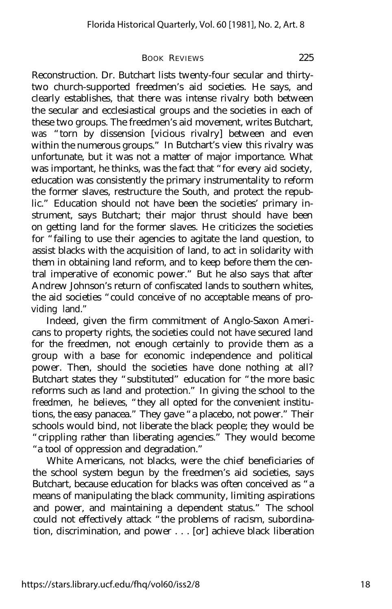Reconstruction. Dr. Butchart lists twenty-four secular and thirtytwo church-supported freedmen's aid societies. He says, and clearly establishes, that there was intense rivalry both between the secular and ecclesiastical groups and the societies in each of these two groups. The freedmen's aid movement, writes Butchart, was "torn by dissension [vicious rivalry] between and even within the numerous groups." In Butchart's view this rivalry was unfortunate, but it was not a matter of major importance. What was important, he thinks, was the fact that "for every aid society, education was consistently the primary instrumentality to reform the former slaves, restructure the South, and protect the republic." Education should not have been the societies' primary instrument, says Butchart; their major thrust should have been on getting land for the former slaves. He criticizes the societies for "failing to use their agencies to agitate the land question, to assist blacks with the acquisition of land, to act in solidarity with them in obtaining land reform, and to keep before them the central imperative of economic power." But he also says that after Andrew Johnson's return of confiscated lands to southern whites, the aid societies "could conceive of no acceptable means of providing land."

Indeed, given the firm commitment of Anglo-Saxon Americans to property rights, the societies could not have secured land for the freedmen, not enough certainly to provide them as a group with a base for economic independence and political power. Then, should the societies have done nothing at all? Butchart states they "substituted" education for "the more basic reforms such as land and protection." In giving the school to the freedmen, he believes, "they all opted for the convenient institutions, the easy panacea." They gave "a placebo, not power." Their schools would bind, not liberate the black people; they would be "crippling rather than liberating agencies." They would become "a tool of oppression and degradation."

White Americans, not blacks, were the chief beneficiaries of the school system begun by the freedmen's aid societies, says Butchart, because education for blacks was often conceived as "a means of manipulating the black community, limiting aspirations and power, and maintaining a dependent status." The school could not effectively attack "the problems of racism, subordination, discrimination, and power . . . [or] achieve black liberation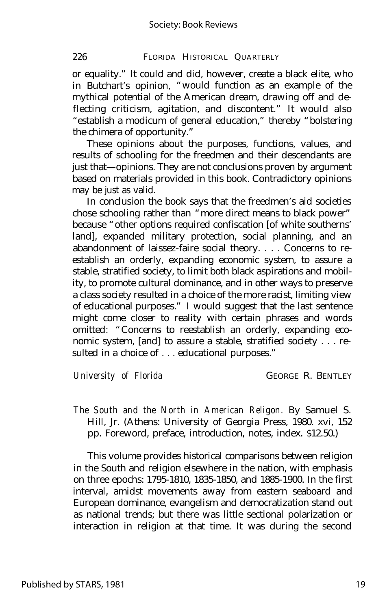or equality." It could and did, however, create a black elite, who in Butchart's opinion, "would function as an example of the mythical potential of the American dream, drawing off and deflecting criticism, agitation, and discontent." It would also "establish a modicum of general education," thereby "bolstering the chimera of opportunity."

These opinions about the purposes, functions, values, and results of schooling for the freedmen and their descendants are just that— opinions. They are not conclusions proven by argument based on materials provided in this book. Contradictory opinions may be just as valid.

In conclusion the book says that the freedmen's aid societies chose schooling rather than "more direct means to black power" because "other options required confiscation [of white southerns' land], expanded military protection, social planning, and an abandonment of laissez-faire social theory. . . . Concerns to reestablish an orderly, expanding economic system, to assure a stable, stratified society, to limit both black aspirations and mobility, to promote cultural dominance, and in other ways to preserve a class society resulted in a choice of the more racist, limiting view of educational purposes." I would suggest that the last sentence might come closer to reality with certain phrases and words omitted: "Concerns to reestablish an orderly, expanding economic system, [and] to assure a stable, stratified society . . . resulted in a choice of . . . educational purposes."

*University of Florida* GEORGE R. BENTLEY

*The South and the North in American Religon.* By Samuel S. Hill, Jr. (Athens: University of Georgia Press, 1980. xvi, 152 pp. Foreword, preface, introduction, notes, index. \$12.50.)

This volume provides historical comparisons between religion in the South and religion elsewhere in the nation, with emphasis on three epochs: 1795-1810, 1835-1850, and 1885-1900. In the first interval, amidst movements away from eastern seaboard and European dominance, evangelism and democratization stand out as national trends; but there was little sectional polarization or interaction in religion at that time. It was during the second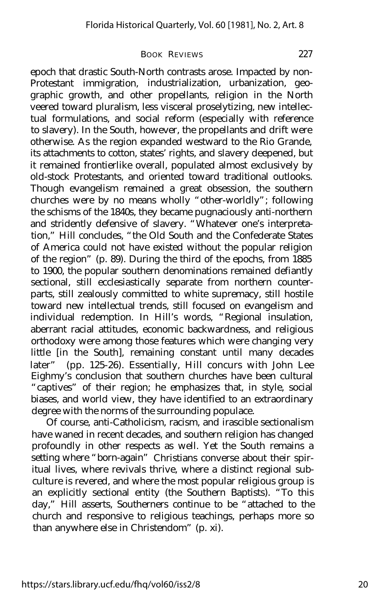epoch that drastic South-North contrasts arose. Impacted by non-Protestant immigration, industrialization, urbanization, geographic growth, and other propellants, religion in the North veered toward pluralism, less visceral proselytizing, new intellectual formulations, and social reform (especially with reference to slavery). In the South, however, the propellants and drift were otherwise. As the region expanded westward to the Rio Grande, its attachments to cotton, states' rights, and slavery deepened, but it remained frontierlike overall, populated almost exclusively by old-stock Protestants, and oriented toward traditional outlooks. Though evangelism remained a great obsession, the southern churches were by no means wholly "other-worldly"; following the schisms of the 1840s, they became pugnaciously anti-northern and stridently defensive of slavery. "Whatever one's interpretation," Hill concludes, "the Old South and the Confederate States of America could not have existed without the popular religion of the region" (p. 89). During the third of the epochs, from 1885 to 1900, the popular southern denominations remained defiantly sectional, still ecclesiastically separate from northern counterparts, still zealously committed to white supremacy, still hostile toward new intellectual trends, still focused on evangelism and individual redemption. In Hill's words, "Regional insulation, aberrant racial attitudes, economic backwardness, and religious orthodoxy were among those features which were changing very little [in the South], remaining constant until many decades later" (pp. 125-26). Essentially, Hill concurs with John Lee Eighmy's conclusion that southern churches have been cultural "captives" of their region; he emphasizes that, in style, social biases, and world view, they have identified to an extraordinary degree with the norms of the surrounding populace.

Of course, anti-Catholicism, racism, and irascible sectionalism have waned in recent decades, and southern religion has changed profoundly in other respects as well. Yet the South remains a setting where "born-again" Christians converse about their spiritual lives, where revivals thrive, where a distinct regional subculture is revered, and where the most popular religious group is an explicitly sectional entity (the Southern Baptists). "To this day," Hill asserts, Southerners continue to be "attached to the church and responsive to religious teachings, perhaps more so than anywhere else in Christendom" (p. xi).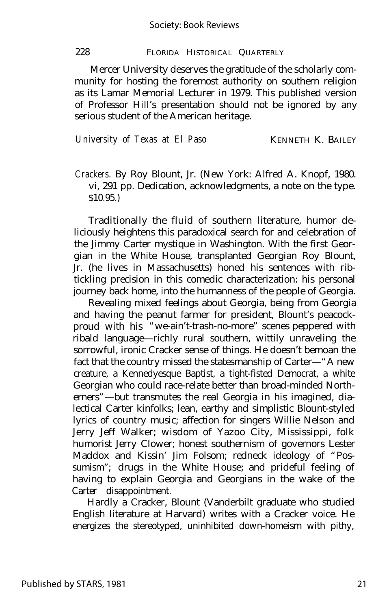Mercer University deserves the gratitude of the scholarly community for hosting the foremost authority on southern religion as its Lamar Memorial Lecturer in 1979. This published version of Professor Hill's presentation should not be ignored by any serious student of the American heritage.

#### *University of Texas at El Paso* KENNETH K. BAILEY

*Crackers.* By Roy Blount, Jr. (New York: Alfred A. Knopf, 1980. vi, 291 pp. Dedication, acknowledgments, a note on the type. \$10.95.)

Traditionally the fluid of southern literature, humor deliciously heightens this paradoxical search for and celebration of the Jimmy Carter mystique in Washington. With the first Georgian in the White House, transplanted Georgian Roy Blount, Jr. (he lives in Massachusetts) honed his sentences with ribtickling precision in this comedic characterization: his personal journey back home, into the humanness of the people of Georgia.

Revealing mixed feelings about Georgia, being from Georgia and having the peanut farmer for president, Blount's peacockproud with his "we-ain't-trash-no-more" scenes peppered with ribald language— richly rural southern, wittily unraveling the sorrowful, ironic Cracker sense of things. He doesn't bemoan the fact that the country missed the statesmanship of Carter— "A new creature, a Kennedyesque Baptist, a tight-fisted Democrat, a white Georgian who could race-relate better than broad-minded Northerners"— but transmutes the real Georgia in his imagined, dialectical Carter kinfolks; lean, earthy and simplistic Blount-styled lyrics of country music; affection for singers Willie Nelson and Jerry Jeff Walker; wisdom of Yazoo City, Mississippi, folk humorist Jerry Clower; honest southernism of governors Lester Maddox and Kissin' Jim Folsom; redneck ideology of "Possumism"; drugs in the White House; and prideful feeling of having to explain Georgia and Georgians in the wake of the Carter disappointment.

Hardly a Cracker, Blount (Vanderbilt graduate who studied English literature at Harvard) writes with a Cracker voice. He energizes the stereotyped, uninhibited down-homeism with pithy,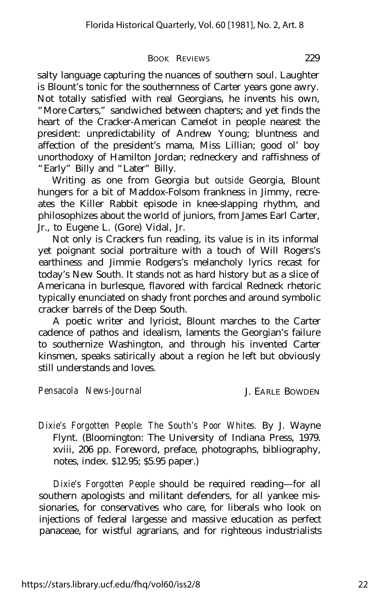salty language capturing the nuances of southern soul. Laughter is Blount's tonic for the southernness of Carter years gone awry. Not totally satisfied with real Georgians, he invents his own, "More Carters," sandwiched between chapters; and yet finds the heart of the Cracker-American Camelot in people nearest the president: unpredictability of Andrew Young; bluntness and affection of the president's mama, Miss Lillian; good ol' boy unorthodoxy of Hamilton Jordan; redneckery and raffishness of "Early" Billy and "Later" Billy.

Writing as one from Georgia but *outside* Georgia, Blount hungers for a bit of Maddox-Folsom frankness in Jimmy, recreates the Killer Rabbit episode in knee-slapping rhythm, and philosophizes about the world of juniors, from James Earl Carter, Jr., to Eugene L. (Gore) Vidal, Jr.

Not only is Crackers fun reading, its value is in its informal yet poignant social portraiture with a touch of Will Rogers's earthiness and Jimmie Rodgers's melancholy lyrics recast for today's New South. It stands not as hard history but as a slice of Americana in burlesque, flavored with farcical Redneck rhetoric typically enunciated on shady front porches and around symbolic cracker barrels of the Deep South.

A poetic writer and lyricist, Blount marches to the Carter cadence of pathos and idealism, laments the Georgian's failure to southernize Washington, and through his invented Carter kinsmen, speaks satirically about a region he left but obviously still understands and loves.

#### *Pensacola News-Journal* J. EARLE BOWDEN

*Dixie's Forgotten People: The South's Poor Whites.* By J. Wayne Flynt. (Bloomington: The University of Indiana Press, 1979. xviii, 206 pp. Foreword, preface, photographs, bibliography, notes, index. \$12.95; \$5.95 paper.)

*Dixie's Forgotten People* should be required reading— for all southern apologists and militant defenders, for all yankee missionaries, for conservatives who care, for liberals who look on injections of federal largesse and massive education as perfect panaceae, for wistful agrarians, and for righteous industrialists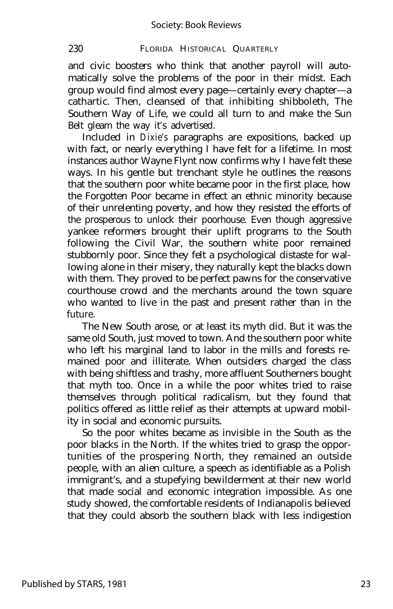and civic boosters who think that another payroll will automatically solve the problems of the poor in their midst. Each group would find almost every page— certainly every chapter— a cathartic. Then, cleansed of that inhibiting shibboleth, The Southern Way of Life, we could all turn to and make the Sun Belt gleam the way it's advertised.

Included in *Dixie's* paragraphs are expositions, backed up with fact, or nearly everything I have felt for a lifetime. In most instances author Wayne Flynt now confirms why I have felt these ways. In his gentle but trenchant style he outlines the reasons that the southern poor white became poor in the first place, how the Forgotten Poor became in effect an ethnic minority because of their unrelenting poverty, and how they resisted the efforts of the prosperous to unlock their poorhouse. Even though aggressive yankee reformers brought their uplift programs to the South following the Civil War, the southern white poor remained stubbornly poor. Since they felt a psychological distaste for wallowing alone in their misery, they naturally kept the blacks down with them. They proved to be perfect pawns for the conservative courthouse crowd and the merchants around the town square who wanted to live in the past and present rather than in the future.

The New South arose, or at least its myth did. But it was the same old South, just moved to town. And the southern poor white who left his marginal land to labor in the mills and forests remained poor and illiterate. When outsiders charged the class with being shiftless and trashy, more affluent Southerners bought that myth too. Once in a while the poor whites tried to raise themselves through political radicalism, but they found that politics offered as little relief as their attempts at upward mobility in social and economic pursuits.

So the poor whites became as invisible in the South as the poor blacks in the North. If the whites tried to grasp the opportunities of the prospering North, they remained an outside people, with an alien culture, a speech as identifiable as a Polish immigrant's, and a stupefying bewilderment at their new world that made social and economic integration impossible. As one study showed, the comfortable residents of Indianapolis believed that they could absorb the southern black with less indigestion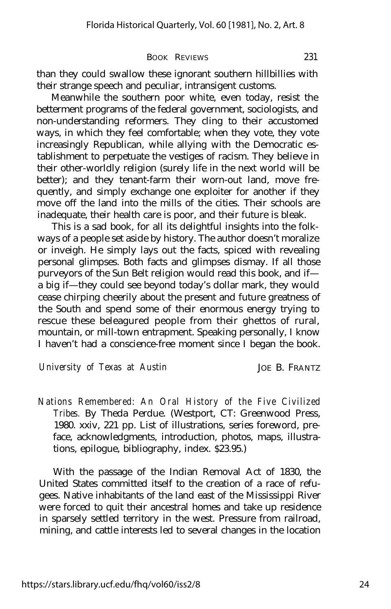than they could swallow these ignorant southern hillbillies with their strange speech and peculiar, intransigent customs.

Meanwhile the southern poor white, even today, resist the betterment programs of the federal government, sociologists, and non-understanding reformers. They cling to their accustomed ways, in which they feel comfortable; when they vote, they vote increasingly Republican, while allying with the Democratic establishment to perpetuate the vestiges of racism. They believe in their other-worldly religion (surely life in the next world will be better); and they tenant-farm their worn-out land, move frequently, and simply exchange one exploiter for another if they move off the land into the mills of the cities. Their schools are inadequate, their health care is poor, and their future is bleak.

This is a sad book, for all its delightful insights into the folkways of a people set aside by history. The author doesn't moralize or inveigh. He simply lays out the facts, spiced with revealing personal glimpses. Both facts and glimpses dismay. If all those purveyors of the Sun Belt religion would read this book, and if a big if— they could see beyond today's dollar mark, they would cease chirping cheerily about the present and future greatness of the South and spend some of their enormous energy trying to rescue these beleagured people from their ghettos of rural, mountain, or mill-town entrapment. Speaking personally, I know I haven't had a conscience-free moment since I began the book.

*University of Texas at Austin* JOE B. FRANTZ

*Nations Remembered: An Oral History of the Five Civilized Tribes.* By Theda Perdue. (Westport, CT: Greenwood Press, 1980. xxiv, 221 pp. List of illustrations, series foreword, preface, acknowledgments, introduction, photos, maps, illustrations, epilogue, bibliography, index. \$23.95.)

With the passage of the Indian Removal Act of 1830, the United States committed itself to the creation of a race of refugees. Native inhabitants of the land east of the Mississippi River were forced to quit their ancestral homes and take up residence in sparsely settled territory in the west. Pressure from railroad, mining, and cattle interests led to several changes in the location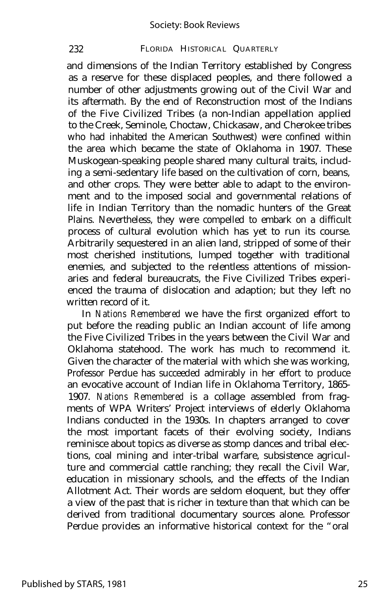and dimensions of the Indian Territory established by Congress as a reserve for these displaced peoples, and there followed a number of other adjustments growing out of the Civil War and its aftermath. By the end of Reconstruction most of the Indians of the Five Civilized Tribes (a non-Indian appellation applied to the Creek, Seminole, Choctaw, Chickasaw, and Cherokee tribes who had inhabited the American Southwest) were confined within the area which became the state of Oklahoma in 1907. These Muskogean-speaking people shared many cultural traits, including a semi-sedentary life based on the cultivation of corn, beans, and other crops. They were better able to adapt to the environment and to the imposed social and governmental relations of life in Indian Territory than the nomadic hunters of the Great Plains. Nevertheless, they were compelled to embark on a difficult process of cultural evolution which has yet to run its course. Arbitrarily sequestered in an alien land, stripped of some of their most cherished institutions, lumped together with traditional enemies, and subjected to the relentless attentions of missionaries and federal bureaucrats, the Five Civilized Tribes experienced the trauma of dislocation and adaption; but they left no written record of it.

In *Nations Remembered* we have the first organized effort to put before the reading public an Indian account of life among the Five Civilized Tribes in the years between the Civil War and Oklahoma statehood. The work has much to recommend it. Given the character of the material with which she was working, Professor Perdue has succeeded admirably in her effort to produce an evocative account of Indian life in Oklahoma Territory, 1865- 1907. *Nations Remembered* is a collage assembled from fragments of WPA Writers' Project interviews of elderly Oklahoma Indians conducted in the 1930s. In chapters arranged to cover the most important facets of their evolving society, Indians reminisce about topics as diverse as stomp dances and tribal elections, coal mining and inter-tribal warfare, subsistence agriculture and commercial cattle ranching; they recall the Civil War, education in missionary schools, and the effects of the Indian Allotment Act. Their words are seldom eloquent, but they offer a view of the past that is richer in texture than that which can be derived from traditional documentary sources alone. Professor Perdue provides an informative historical context for the "oral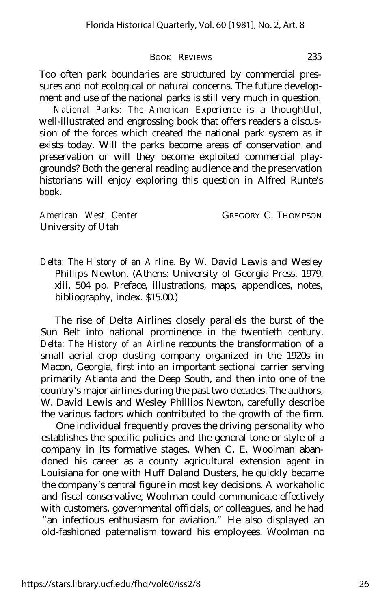Too often park boundaries are structured by commercial pressures and not ecological or natural concerns. The future development and use of the national parks is still very much in question.

*National Parks: The American Experience* is a thoughtful, well-illustrated and engrossing book that offers readers a discussion of the forces which created the national park system as it exists today. Will the parks become areas of conservation and preservation or will they become exploited commercial playgrounds? Both the general reading audience and the preservation historians will enjoy exploring this question in Alfred Runte's book.

*American West Center* University of *Utah*

GREGORY C. THOMPSON

*Delta: The History of an Airline.* By W. David Lewis and Wesley Phillips Newton. (Athens: University of Georgia Press, 1979. xiii, 504 pp. Preface, illustrations, maps, appendices, notes, bibliography, index. \$15.00.)

The rise of Delta Airlines closely parallels the burst of the Sun Belt into national prominence in the twentieth century. *Delta: The History of an Airline* recounts the transformation of a small aerial crop dusting company organized in the 1920s in Macon, Georgia, first into an important sectional carrier serving primarily Atlanta and the Deep South, and then into one of the country's major airlines during the past two decades. The authors, W. David Lewis and Wesley Phillips Newton, carefully describe the various factors which contributed to the growth of the firm.

One individual frequently proves the driving personality who establishes the specific policies and the general tone or style of a company in its formative stages. When C. E. Woolman abandoned his career as a county agricultural extension agent in Louisiana for one with Huff Daland Dusters, he quickly became the company's central figure in most key decisions. A workaholic and fiscal conservative, Woolman could communicate effectively with customers, governmental officials, or colleagues, and he had "an infectious enthusiasm for aviation." He also displayed an old-fashioned paternalism toward his employees. Woolman no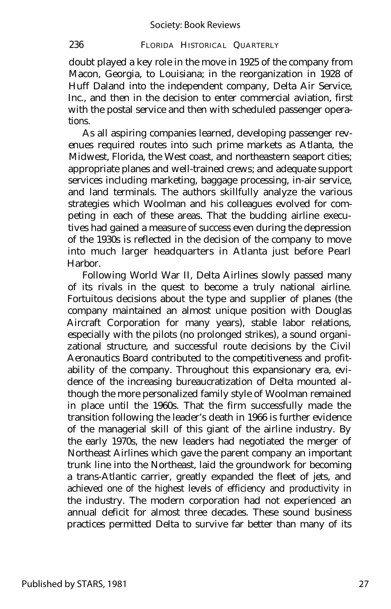doubt played a key role in the move in 1925 of the company from Macon, Georgia, to Louisiana; in the reorganization in 1928 of Huff Daland into the independent company, Delta Air Service, Inc., and then in the decision to enter commercial aviation, first with the postal service and then with scheduled passenger operations.

As all aspiring companies learned, developing passenger revenues required routes into such prime markets as Atlanta, the Midwest, Florida, the West coast, and northeastern seaport cities; appropriate planes and well-trained crews; and adequate support services including marketing, baggage processing, in-air service, and land terminals. The authors skillfully analyze the various strategies which Woolman and his colleagues evolved for competing in each of these areas. That the budding airline executives had gained a measure of success even during the depression of the 1930s is reflected in the decision of the company to move into much larger headquarters in Atlanta just before Pearl **Harbor** 

Following World War II, Delta Airlines slowly passed many of its rivals in the quest to become a truly national airline. Fortuitous decisions about the type and supplier of planes (the company maintained an almost unique position with Douglas Aircraft Corporation for many years), stable labor relations, especially with the pilots (no prolonged strikes), a sound organizational structure, and successful route decisions by the Civil Aeronautics Board contributed to the competitiveness and profitability of the company. Throughout this expansionary era, evidence of the increasing bureaucratization of Delta mounted although the more personalized family style of Woolman remained in place until the 1960s. That the firm successfully made the transition following the leader's death in 1966 is further evidence of the managerial skill of this giant of the airline industry. By the early 1970s, the new leaders had negotiated the merger of Northeast Airlines which gave the parent company an important trunk line into the Northeast, laid the groundwork for becoming a trans-Atlantic carrier, greatly expanded the fleet of jets, and achieved one of the highest levels of efficiency and productivity in the industry. The modern corporation had not experienced an annual deficit for almost three decades. These sound business practices permitted Delta to survive far better than many of its

Published by STARS, 1981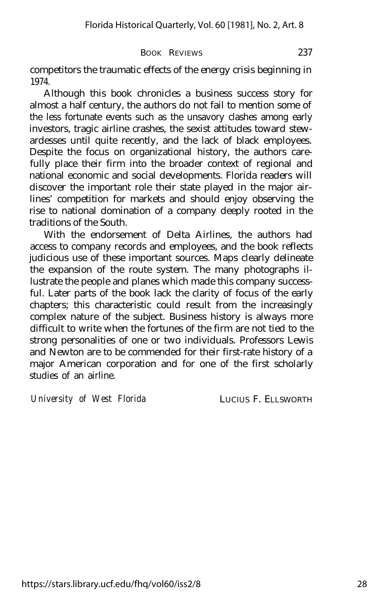competitors the traumatic effects of the energy crisis beginning in 1974.

Although this book chronicles a business success story for almost a half century, the authors do not fail to mention some of the less fortunate events such as the unsavory clashes among early investors, tragic airline crashes, the sexist attitudes toward stewardesses until quite recently, and the lack of black employees. Despite the focus on organizational history, the authors carefully place their firm into the broader context of regional and national economic and social developments. Florida readers will discover the important role their state played in the major airlines' competition for markets and should enjoy observing the rise to national domination of a company deeply rooted in the traditions of the South.

With the endorsement of Delta Airlines, the authors had access to company records and employees, and the book reflects judicious use of these important sources. Maps clearly delineate the expansion of the route system. The many photographs illustrate the people and planes which made this company successful. Later parts of the book lack the clarity of focus of the early chapters; this characteristic could result from the increasingly complex nature of the subject. Business history is always more difficult to write when the fortunes of the firm are not tied to the strong personalities of one or two individuals. Professors Lewis and Newton are to be commended for their first-rate history of a major American corporation and for one of the first scholarly studies of an airline.

*University of West Florida* LUCIUS F. ELLSWORTH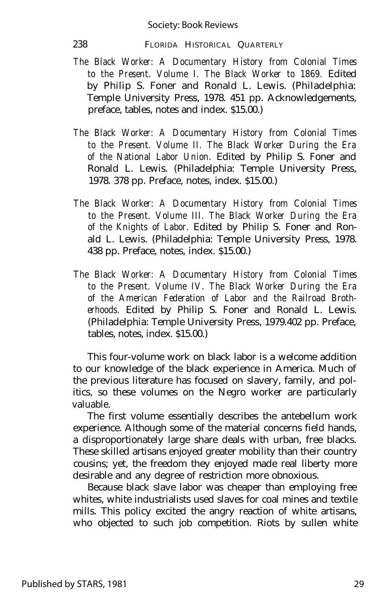- *The Black Worker: A Documentary History from Colonial Times to the Present. Volume I. The Black Worker to 1869.* Edited by Philip S. Foner and Ronald L. Lewis. (Philadelphia: Temple University Press, 1978. 451 pp. Acknowledgements, preface, tables, notes and index. \$15.00.)
- *The Black Worker: A Documentary History from Colonial Times to the Present. Volume II. The Black Worker During the Era of the National Labor Union.* Edited by Philip S. Foner and Ronald L. Lewis. (Philadelphia: Temple University Press, 1978. 378 pp. Preface, notes, index. \$15.00.)
- *The Black Worker: A Documentary History from Colonial Times to the Present. Volume III. The Black Worker During the Era of the Knights of Labor.* Edited by Philip S. Foner and Ronald L. Lewis. (Philadelphia: Temple University Press, 1978. 438 pp. Preface, notes, index. \$15.00.)
- *The Black Worker: A Documentary History from Colonial Times to the Present. Volume IV. The Black Worker During the Era of the American Federation of Labor and the Railroad Brotherhoods.* Edited by Philip S. Foner and Ronald L. Lewis. (Philadelphia: Temple University Press, 1979.402 pp. Preface, tables, notes, index. \$15.00.)

This four-volume work on black labor is a welcome addition to our knowledge of the black experience in America. Much of the previous literature has focused on slavery, family, and politics, so these volumes on the Negro worker are particularly valuable.

The first volume essentially describes the antebellum work experience. Although some of the material concerns field hands, a disproportionately large share deals with urban, free blacks. These skilled artisans enjoyed greater mobility than their country cousins; yet, the freedom they enjoyed made real liberty more desirable and any degree of restriction more obnoxious.

Because black slave labor was cheaper than employing free whites, white industrialists used slaves for coal mines and textile mills. This policy excited the angry reaction of white artisans, who objected to such job competition. Riots by sullen white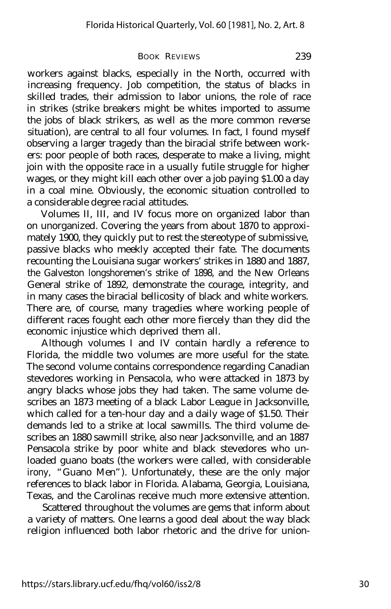workers against blacks, especially in the North, occurred with increasing frequency. Job competition, the status of blacks in skilled trades, their admission to labor unions, the role of race in strikes (strike breakers might be whites imported to assume the jobs of black strikers, as well as the more common reverse situation), are central to all four volumes. In fact, I found myself observing a larger tragedy than the biracial strife between workers: poor people of both races, desperate to make a living, might join with the opposite race in a usually futile struggle for higher wages, or they might kill each other over a job paying \$1.00 a day in a coal mine. Obviously, the economic situation controlled to a considerable degree racial attitudes.

Volumes II, III, and IV focus more on organized labor than on unorganized. Covering the years from about 1870 to approximately 1900, they quickly put to rest the stereotype of submissive. passive blacks who meekly accepted their fate. The documents recounting the Louisiana sugar workers' strikes in 1880 and 1887, the Galveston longshoremen's strike of 1898, and the New Orleans General strike of 1892, demonstrate the courage, integrity, and in many cases the biracial bellicosity of black and white workers. There are, of course, many tragedies where working people of different races fought each other more fiercely than they did the economic injustice which deprived them all.

Although volumes I and IV contain hardly a reference to Florida, the middle two volumes are more useful for the state. The second volume contains correspondence regarding Canadian stevedores working in Pensacola, who were attacked in 1873 by angry blacks whose jobs they had taken. The same volume describes an 1873 meeting of a black Labor League in Jacksonville, which called for a ten-hour day and a daily wage of \$1.50. Their demands led to a strike at local sawmills. The third volume describes an 1880 sawmill strike, also near Jacksonville, and an 1887 Pensacola strike by poor white and black stevedores who unloaded guano boats (the workers were called, with considerable irony, "Guano Men"). Unfortunately, these are the only major references to black labor in Florida. Alabama, Georgia, Louisiana, Texas, and the Carolinas receive much more extensive attention.

Scattered throughout the volumes are gems that inform about a variety of matters. One learns a good deal about the way black religion influenced both labor rhetoric and the drive for union-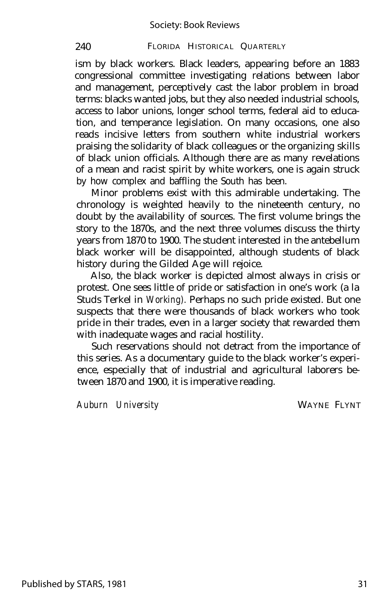ism by black workers. Black leaders, appearing before an 1883 congressional committee investigating relations between labor and management, perceptively cast the labor problem in broad terms: blacks wanted jobs, but they also needed industrial schools, access to labor unions, longer school terms, federal aid to education, and temperance legislation. On many occasions, one also reads incisive letters from southern white industrial workers praising the solidarity of black colleagues or the organizing skills of black union officials. Although there are as many revelations of a mean and racist spirit by white workers, one is again struck by how complex and baffling the South has been.

Minor problems exist with this admirable undertaking. The chronology is weighted heavily to the nineteenth century, no doubt by the availability of sources. The first volume brings the story to the 1870s, and the next three volumes discuss the thirty years from 1870 to 1900. The student interested in the antebellum black worker will be disappointed, although students of black history during the Gilded Age will rejoice.

Also, the black worker is depicted almost always in crisis or protest. One sees little of pride or satisfaction in one's work (a la Studs Terkel in *Working).* Perhaps no such pride existed. But one suspects that there were thousands of black workers who took pride in their trades, even in a larger society that rewarded them with inadequate wages and racial hostility.

Such reservations should not detract from the importance of this series. As a documentary guide to the black worker's experience, especially that of industrial and agricultural laborers between 1870 and 1900, it is imperative reading.

*Auburn University* WAYNE FLYNT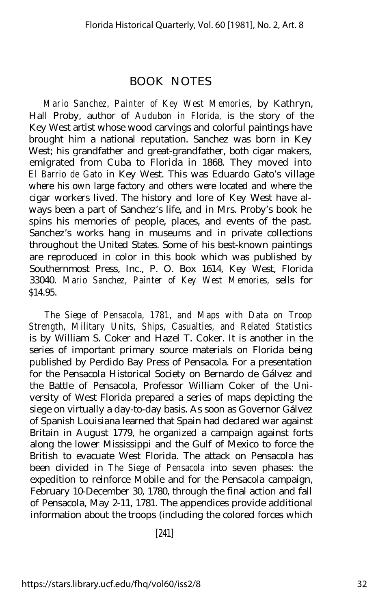### BOOK NOTES

*Mario Sanchez, Painter of Key West Memories,* by Kathryn, Hall Proby, author of *Audubon in Florida,* is the story of the Key West artist whose wood carvings and colorful paintings have brought him a national reputation. Sanchez was born in Key West; his grandfather and great-grandfather, both cigar makers, emigrated from Cuba to Florida in 1868. They moved into *El Barrio de Gato* in Key West. This was Eduardo Gato's village where his own large factory and others were located and where the cigar workers lived. The history and lore of Key West have always been a part of Sanchez's life, and in Mrs. Proby's book he spins his memories of people, places, and events of the past. Sanchez's works hang in museums and in private collections throughout the United States. Some of his best-known paintings are reproduced in color in this book which was published by Southernmost Press, Inc., P. O. Box 1614, Key West, Florida 33040. *Mario Sanchez, Painter of Key West Memories,* sells for \$14.95.

*The Siege of Pensacola, 1781, and Maps with Data on Troop Strength, Military Units, Ships, Casualties, and Related Statistics* is by William S. Coker and Hazel T. Coker. It is another in the series of important primary source materials on Florida being published by Perdido Bay Press of Pensacola. For a presentation for the Pensacola Historical Society on Bernardo de Gálvez and the Battle of Pensacola, Professor William Coker of the University of West Florida prepared a series of maps depicting the siege on virtually a day-to-day basis. As soon as Governor Gálvez of Spanish Louisiana learned that Spain had declared war against Britain in August 1779, he organized a campaign against forts along the lower Mississippi and the Gulf of Mexico to force the British to evacuate West Florida. The attack on Pensacola has been divided in *The Siege of Pensacola* into seven phases: the expedition to reinforce Mobile and for the Pensacola campaign, February 10-December 30, 1780, through the final action and fall of Pensacola, May 2-11, 1781. The appendices provide additional information about the troops (including the colored forces which

[241]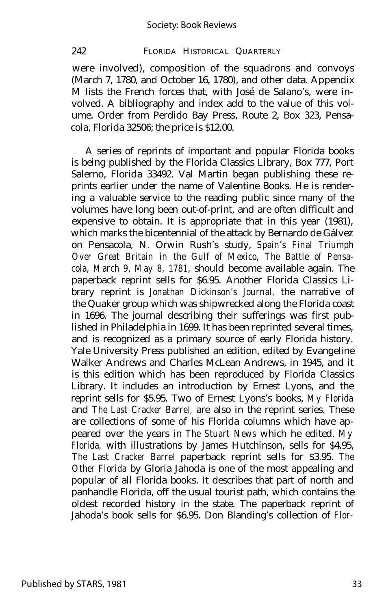were involved), composition of the squadrons and convoys (March 7, 1780, and October 16, 1780), and other data. Appendix M lists the French forces that, with José de Salano's, were involved. A bibliography and index add to the value of this volume. Order from Perdido Bay Press, Route 2, Box 323, Pensacola, Florida 32506; the price is \$12.00.

A series of reprints of important and popular Florida books is being published by the Florida Classics Library, Box 777, Port Salerno, Florida 33492. Val Martin began publishing these reprints earlier under the name of Valentine Books. He is rendering a valuable service to the reading public since many of the volumes have long been out-of-print, and are often difficult and expensive to obtain. It is appropriate that in this year (1981), which marks the bicentennial of the attack by Bernardo de Gálvez on Pensacola, N. Orwin Rush's study, *Spain's Final Triumph Over Great Britain in the Gulf of Mexico, The Battle of Pensacola, March 9, May 8, 1781,* should become available again. The paperback reprint sells for \$6.95. Another Florida Classics Library reprint is *Jonathan Dickinson's Journal,* the narrative of the Quaker group which was shipwrecked along the Florida coast in 1696. The journal describing their sufferings was first published in Philadelphia in 1699. It has been reprinted several times, and is recognized as a primary source of early Florida history. Yale University Press published an edition, edited by Evangeline Walker Andrews and Charles McLean Andrews, in 1945, and it is this edition which has been reproduced by Florida Classics Library. It includes an introduction by Ernest Lyons, and the reprint sells for \$5.95. Two of Ernest Lyons's books, *My Florida* and *The Last Cracker Barrel,* are also in the reprint series. These are collections of some of his Florida columns which have appeared over the years in *The Stuart News* which he edited. *My Florida,* with illustrations by James Hutchinson, sells for \$4.95, *The Last Cracker Barrel* paperback reprint sells for \$3.95. *The Other Florida* by Gloria Jahoda is one of the most appealing and popular of all Florida books. It describes that part of north and panhandle Florida, off the usual tourist path, which contains the oldest recorded history in the state. The paperback reprint of Jahoda's book sells for \$6.95. Don Blanding's collection of *Flor-*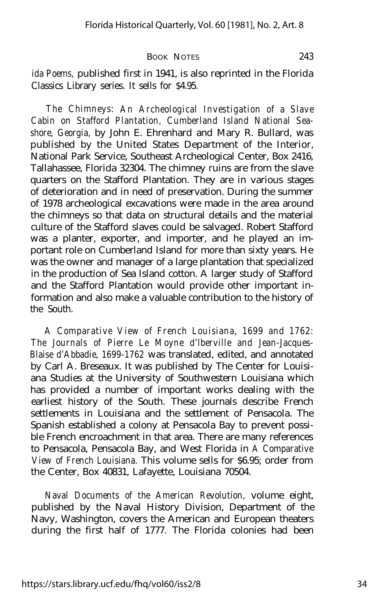BOOK NOTES 243

*ida Poems,* published first in 1941, is also reprinted in the Florida Classics Library series. It sells for \$4.95.

*The Chimneys: An Archeological Investigation of a Slave Cabin on Stafford Plantation, Cumberland Island National Seashore, Georgia,* by John E. Ehrenhard and Mary R. Bullard, was published by the United States Department of the Interior, National Park Service, Southeast Archeological Center, Box 2416, Tallahassee, Florida 32304. The chimney ruins are from the slave quarters on the Stafford Plantation. They are in various stages of deterioration and in need of preservation. During the summer of 1978 archeological excavations were made in the area around the chimneys so that data on structural details and the material culture of the Stafford slaves could be salvaged. Robert Stafford was a planter, exporter, and importer, and he played an important role on Cumberland Island for more than sixty years. He was the owner and manager of a large plantation that specialized in the production of Sea Island cotton. A larger study of Stafford and the Stafford Plantation would provide other important information and also make a valuable contribution to the history of the South.

*A Comparative View of French Louisiana, 1699 and 1762: The Journals of Pierre Le Moyne d'lberville and Jean-Jacques-Blaise d'Abbadie, 1699-1762* was translated, edited, and annotated by Carl A. Breseaux. It was published by The Center for Louisiana Studies at the University of Southwestern Louisiana which has provided a number of important works dealing with the earliest history of the South. These journals describe French settlements in Louisiana and the settlement of Pensacola. The Spanish established a colony at Pensacola Bay to prevent possible French encroachment in that area. There are many references to Pensacola, Pensacola Bay, and West Florida in *A Comparative View of French Louisiana.* This volume sells for \$6.95; order from the Center, Box 40831, Lafayette, Louisiana 70504.

*Naval Documents of the American Revolution,* volume eight, published by the Naval History Division, Department of the Navy, Washington, covers the American and European theaters during the first half of 1777. The Florida colonies had been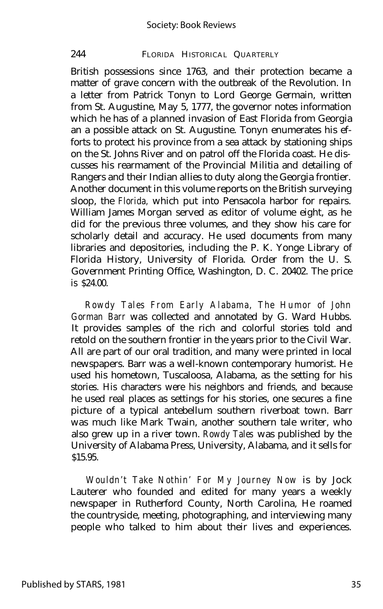British possessions since 1763, and their protection became a matter of grave concern with the outbreak of the Revolution. In a letter from Patrick Tonyn to Lord George Germain, written from St. Augustine, May 5, 1777, the governor notes information which he has of a planned invasion of East Florida from Georgia an a possible attack on St. Augustine. Tonyn enumerates his efforts to protect his province from a sea attack by stationing ships on the St. Johns River and on patrol off the Florida coast. He discusses his rearmament of the Provincial Militia and detailing of Rangers and their Indian allies to duty along the Georgia frontier. Another document in this volume reports on the British surveying sloop, the *Florida,* which put into Pensacola harbor for repairs. William James Morgan served as editor of volume eight, as he did for the previous three volumes, and they show his care for scholarly detail and accuracy. He used documents from many libraries and depositories, including the P. K. Yonge Library of Florida History, University of Florida. Order from the U. S. Government Printing Office, Washington, D. C. 20402. The price is \$24.00.

*Rowdy Tales From Early Alabama, The Humor of John Gorman Barr* was collected and annotated by G. Ward Hubbs. It provides samples of the rich and colorful stories told and retold on the southern frontier in the years prior to the Civil War. All are part of our oral tradition, and many were printed in local newspapers. Barr was a well-known contemporary humorist. He used his hometown, Tuscaloosa, Alabama, as the setting for his stories. His characters were his neighbors and friends, and because he used real places as settings for his stories, one secures a fine picture of a typical antebellum southern riverboat town. Barr was much like Mark Twain, another southern tale writer, who also grew up in a river town. *Rowdy Tales* was published by the University of Alabama Press, University, Alabama, and it sells for \$15.95.

*Wouldn't Take Nothin' For My Journey Now* is by Jock Lauterer who founded and edited for many years a weekly newspaper in Rutherford County, North Carolina, He roamed the countryside, meeting, photographing, and interviewing many people who talked to him about their lives and experiences.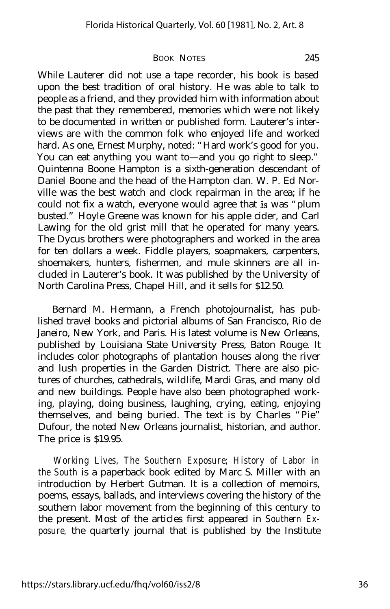#### BOOK NOTES 245

While Lauterer did not use a tape recorder, his book is based upon the best tradition of oral history. He was able to talk to people as a friend, and they provided him with information about the past that they remembered, memories which were not likely to be documented in written or published form. Lauterer's interviews are with the common folk who enjoyed life and worked hard. As one, Ernest Murphy, noted: "Hard work's good for you. You can eat anything you want to— and you go right to sleep." Quintenna Boone Hampton is a sixth-generation descendant of Daniel Boone and the head of the Hampton clan. W. P. Ed Norville was the best watch and clock repairman in the area; if he could not fix a watch, everyone would agree that is was "plum busted." Hoyle Greene was known for his apple cider, and Carl Lawing for the old grist mill that he operated for many years. The Dycus brothers were photographers and worked in the area for ten dollars a week. Fiddle players, soapmakers, carpenters, shoemakers, hunters, fishermen, and mule skinners are all included in Lauterer's book. It was published by the University of North Carolina Press, Chapel Hill, and it sells for \$12.50.

Bernard M. Hermann, a French photojournalist, has published travel books and pictorial albums of San Francisco, Rio de Janeiro, New York, and Paris. His latest volume is New Orleans, published by Louisiana State University Press, Baton Rouge. It includes color photographs of plantation houses along the river and lush properties in the Garden District. There are also pictures of churches, cathedrals, wildlife, Mardi Gras, and many old and new buildings. People have also been photographed working, playing, doing business, laughing, crying, eating, enjoying themselves, and being buried. The text is by Charles "Pie" Dufour, the noted New Orleans journalist, historian, and author. The price is \$19.95.

*Working Lives, The Southern Exposure; History of Labor in the South* is a paperback book edited by Marc S. Miller with an introduction by Herbert Gutman. It is a collection of memoirs, poems, essays, ballads, and interviews covering the history of the southern labor movement from the beginning of this century to the present. Most of the articles first appeared in *Southern Exposure,* the quarterly journal that is published by the Institute